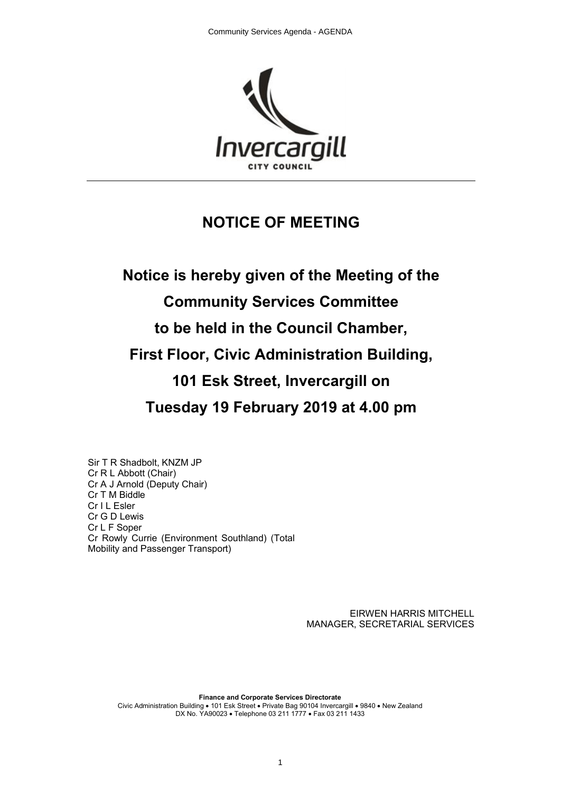

# **NOTICE OF MEETING**

**Notice is hereby given of the Meeting of the Community Services Committee to be held in the Council Chamber, First Floor, Civic Administration Building, 101 Esk Street, Invercargill on Tuesday 19 February 2019 at 4.00 pm**

Sir T R Shadbolt, KNZM JP Cr R L Abbott (Chair) Cr A J Arnold (Deputy Chair) Cr T M Biddle Cr I L Esler Cr G D Lewis Cr L F Soper Cr Rowly Currie (Environment Southland) (Total Mobility and Passenger Transport)

> EIRWEN HARRIS MITCHELL MANAGER, SECRETARIAL SERVICES

**Finance and Corporate Services Directorate** Civic Administration Building • 101 Esk Street • Private Bag 90104 Invercargill • 9840 • New Zealand DX No. YA90023 • Telephone 03 211 1777 • Fax 03 211 1433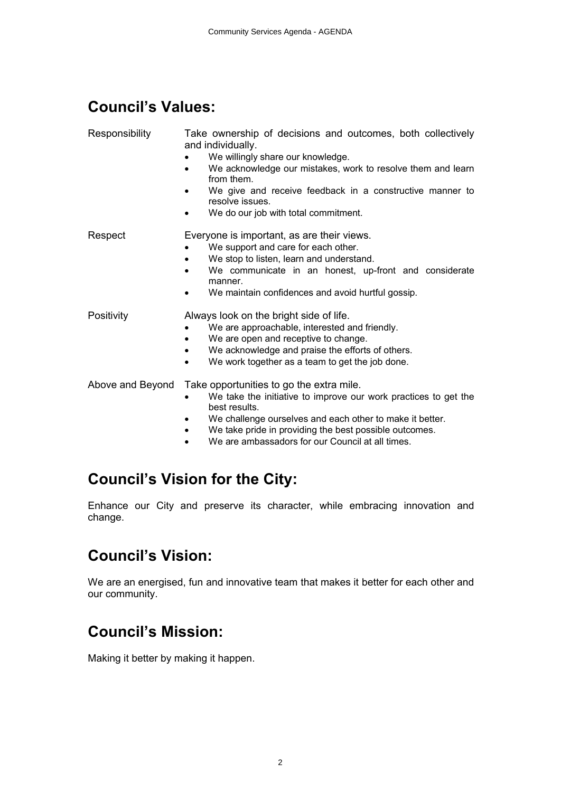# **Council's Values:**

| Responsibility   | Take ownership of decisions and outcomes, both collectively<br>and individually.<br>We willingly share our knowledge.<br>We acknowledge our mistakes, work to resolve them and learn<br>from them.<br>We give and receive feedback in a constructive manner to<br>resolve issues.<br>We do our job with total commitment.        |
|------------------|----------------------------------------------------------------------------------------------------------------------------------------------------------------------------------------------------------------------------------------------------------------------------------------------------------------------------------|
| Respect          | Everyone is important, as are their views.<br>We support and care for each other.<br>We stop to listen, learn and understand.<br>We communicate in an honest, up-front and considerate<br>manner.<br>We maintain confidences and avoid hurtful gossip.                                                                           |
| Positivity       | Always look on the bright side of life.<br>We are approachable, interested and friendly.<br>We are open and receptive to change.<br>We acknowledge and praise the efforts of others.<br>٠<br>We work together as a team to get the job done.<br>$\bullet$                                                                        |
| Above and Beyond | Take opportunities to go the extra mile.<br>We take the initiative to improve our work practices to get the<br>best results.<br>We challenge ourselves and each other to make it better.<br>We take pride in providing the best possible outcomes.<br>$\bullet$<br>We are ambassadors for our Council at all times.<br>$\bullet$ |

# **Council's Vision for the City:**

Enhance our City and preserve its character, while embracing innovation and change.

# **Council's Vision:**

We are an energised, fun and innovative team that makes it better for each other and our community.

# **Council's Mission:**

Making it better by making it happen.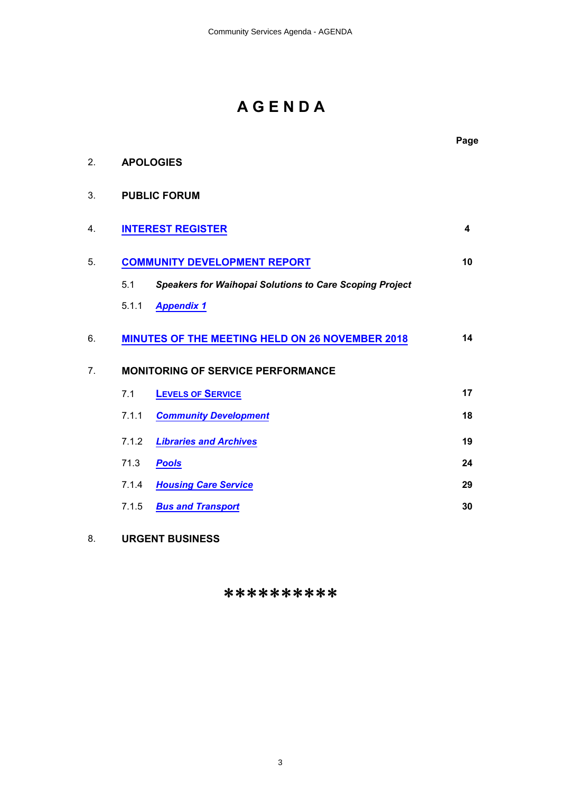# **A G E N D A**

|                |       |                                                                | Page |
|----------------|-------|----------------------------------------------------------------|------|
| 2.             |       | <b>APOLOGIES</b>                                               |      |
| 3.             |       | <b>PUBLIC FORUM</b>                                            |      |
| 4.             |       | <b>INTEREST REGISTER</b>                                       | 4    |
| 5.             |       | <b>COMMUNITY DEVELOPMENT REPORT</b>                            | 10   |
|                | 5.1   | <b>Speakers for Waihopai Solutions to Care Scoping Project</b> |      |
|                | 5.1.1 | <b>Appendix 1</b>                                              |      |
| 6.             |       | <b>MINUTES OF THE MEETING HELD ON 26 NOVEMBER 2018</b>         | 14   |
| 7 <sub>1</sub> |       | <b>MONITORING OF SERVICE PERFORMANCE</b>                       |      |
|                | 7.1   | <b>LEVELS OF SERVICE</b>                                       | 17   |
|                | 7.1.1 | <b>Community Development</b>                                   | 18   |
|                | 7.1.2 | <b>Libraries and Archives</b>                                  | 19   |
|                | 71.3  | <b>Pools</b>                                                   | 24   |
|                | 7.1.4 | <b>Housing Care Service</b>                                    | 29   |
|                | 7.1.5 | <b>Bus and Transport</b>                                       | 30   |
| 8.             |       | <b>URGENT BUSINESS</b>                                         |      |

# \*\*\*\*\*\*\*\*\*\*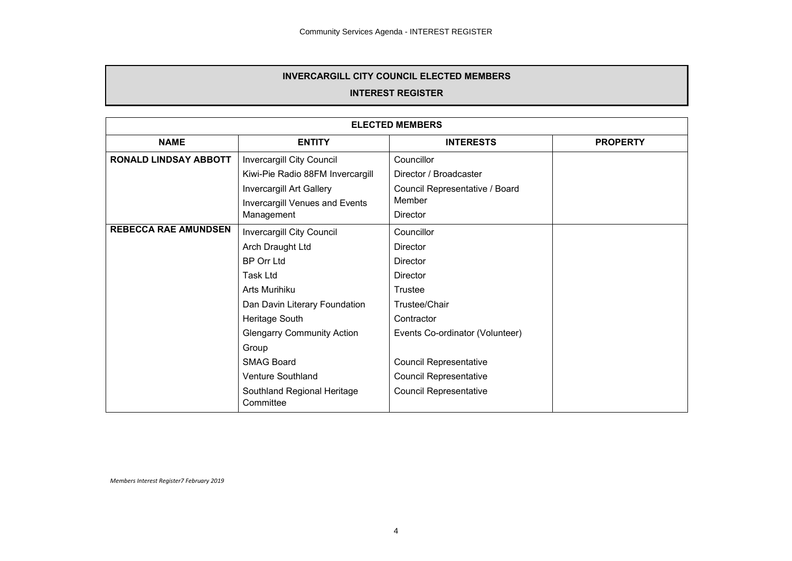#### **INTEREST REGISTER**

<span id="page-3-0"></span>

| <b>ELECTED MEMBERS</b>       |                                                      |                                 |  |
|------------------------------|------------------------------------------------------|---------------------------------|--|
| <b>NAME</b>                  | <b>ENTITY</b><br><b>INTERESTS</b><br><b>PROPERTY</b> |                                 |  |
| <b>RONALD LINDSAY ABBOTT</b> | Invercargill City Council                            | Councillor                      |  |
|                              | Kiwi-Pie Radio 88FM Invercargill                     | Director / Broadcaster          |  |
|                              | Invercargill Art Gallery                             | Council Representative / Board  |  |
|                              | Invercargill Venues and Events                       | Member                          |  |
|                              | Management                                           | Director                        |  |
| <b>REBECCA RAE AMUNDSEN</b>  | Invercargill City Council                            | Councillor                      |  |
|                              | Arch Draught Ltd                                     | Director                        |  |
|                              | <b>BP Orr Ltd</b>                                    | Director                        |  |
|                              | Task Ltd                                             | Director                        |  |
|                              | Arts Murihiku                                        | Trustee                         |  |
|                              | Dan Davin Literary Foundation                        | Trustee/Chair                   |  |
|                              | Heritage South                                       | Contractor                      |  |
|                              | <b>Glengarry Community Action</b>                    | Events Co-ordinator (Volunteer) |  |
|                              | Group                                                |                                 |  |
|                              | <b>SMAG Board</b>                                    | <b>Council Representative</b>   |  |
|                              | Venture Southland                                    | <b>Council Representative</b>   |  |
|                              | Southland Regional Heritage<br>Committee             | <b>Council Representative</b>   |  |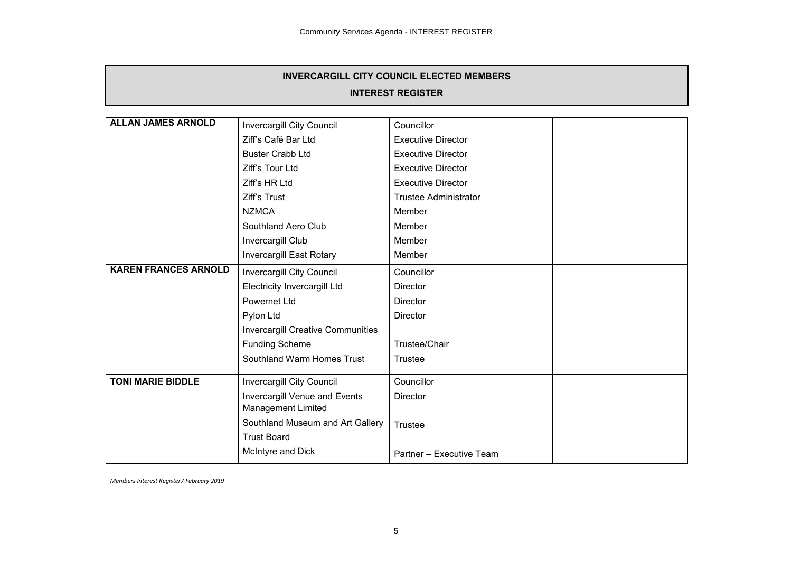# **INTEREST REGISTER**

| <b>ALLAN JAMES ARNOLD</b>   | Invercargill City Council                | Councillor                   |  |
|-----------------------------|------------------------------------------|------------------------------|--|
|                             | Ziff's Café Bar Ltd                      | <b>Executive Director</b>    |  |
|                             | <b>Buster Crabb Ltd</b>                  | <b>Executive Director</b>    |  |
|                             | Ziff's Tour Ltd                          | <b>Executive Director</b>    |  |
|                             | Ziff's HR Ltd                            | <b>Executive Director</b>    |  |
|                             | Ziff's Trust                             | <b>Trustee Administrator</b> |  |
|                             | <b>NZMCA</b>                             | Member                       |  |
|                             | Southland Aero Club                      | Member                       |  |
|                             | Invercargill Club                        | Member                       |  |
|                             | <b>Invercargill East Rotary</b>          | Member                       |  |
| <b>KAREN FRANCES ARNOLD</b> | <b>Invercargill City Council</b>         | Councillor                   |  |
|                             | Electricity Invercargill Ltd             | <b>Director</b>              |  |
|                             | Powernet Ltd                             | <b>Director</b>              |  |
|                             | Pylon Ltd                                | <b>Director</b>              |  |
|                             | <b>Invercargill Creative Communities</b> |                              |  |
|                             | <b>Funding Scheme</b>                    | Trustee/Chair                |  |
|                             | Southland Warm Homes Trust               | Trustee                      |  |
| <b>TONI MARIE BIDDLE</b>    | <b>Invercargill City Council</b>         | Councillor                   |  |
|                             | Invercargill Venue and Events            | <b>Director</b>              |  |
|                             | Management Limited                       |                              |  |
|                             | Southland Museum and Art Gallery         | Trustee                      |  |
|                             | <b>Trust Board</b>                       |                              |  |
|                             | McIntyre and Dick                        | Partner - Executive Team     |  |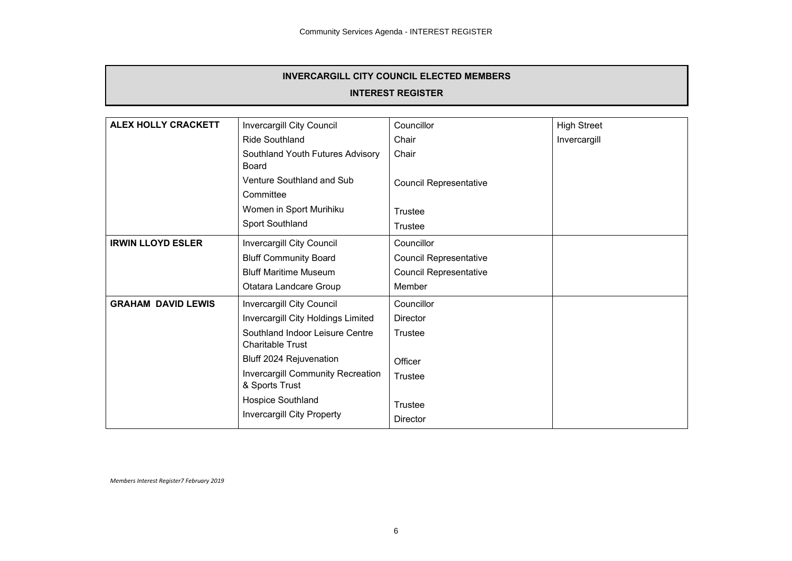#### **INTEREST REGISTER**

| <b>ALEX HOLLY CRACKETT</b> | <b>Invercargill City Council</b>                           | Councillor                    | <b>High Street</b> |
|----------------------------|------------------------------------------------------------|-------------------------------|--------------------|
|                            | Ride Southland                                             | Chair                         | Invercargill       |
|                            | Southland Youth Futures Advisory<br>Board                  | Chair                         |                    |
|                            | Venture Southland and Sub<br>Committee                     | <b>Council Representative</b> |                    |
|                            | Women in Sport Murihiku<br>Sport Southland                 | Trustee                       |                    |
|                            |                                                            | Trustee                       |                    |
| <b>IRWIN LLOYD ESLER</b>   | Invercargill City Council                                  | Councillor                    |                    |
|                            | <b>Bluff Community Board</b>                               | <b>Council Representative</b> |                    |
|                            | <b>Bluff Maritime Museum</b>                               | <b>Council Representative</b> |                    |
|                            | Otatara Landcare Group                                     | Member                        |                    |
| <b>GRAHAM DAVID LEWIS</b>  | Invercargill City Council                                  | Councillor                    |                    |
|                            | Invercargill City Holdings Limited                         | <b>Director</b>               |                    |
|                            | Southland Indoor Leisure Centre<br><b>Charitable Trust</b> | Trustee                       |                    |
|                            | Bluff 2024 Rejuvenation                                    | Officer                       |                    |
|                            | Invercargill Community Recreation<br>& Sports Trust        | Trustee                       |                    |
|                            | Hospice Southland                                          | Trustee                       |                    |
|                            | <b>Invercargill City Property</b>                          | Director                      |                    |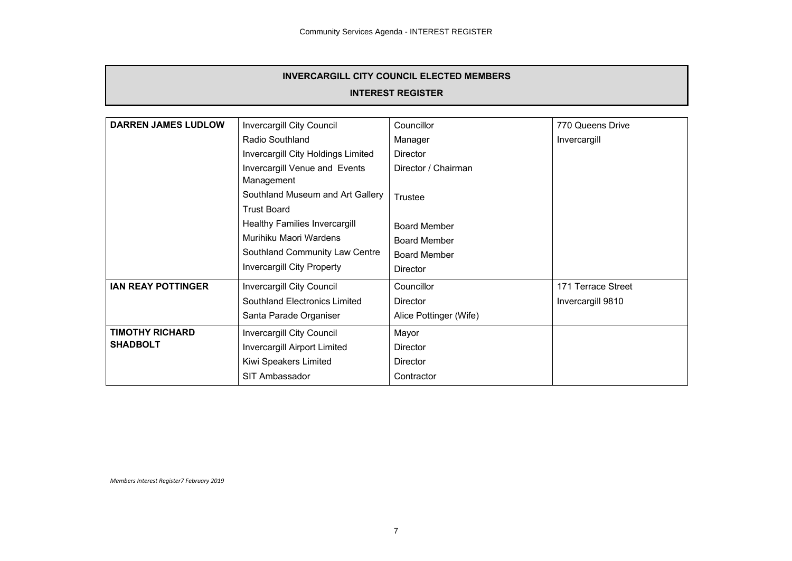#### **INTEREST REGISTER**

| <b>DARREN JAMES LUDLOW</b>                | <b>Invercargill City Council</b>                                                                                               | Councillor                                                                    | 770 Queens Drive                        |
|-------------------------------------------|--------------------------------------------------------------------------------------------------------------------------------|-------------------------------------------------------------------------------|-----------------------------------------|
|                                           | Radio Southland                                                                                                                | Manager                                                                       | Invercargill                            |
|                                           | Invercargill City Holdings Limited                                                                                             | Director                                                                      |                                         |
|                                           | Invercargill Venue and Events<br>Management                                                                                    | Director / Chairman                                                           |                                         |
|                                           | Southland Museum and Art Gallery<br><b>Trust Board</b>                                                                         | Trustee                                                                       |                                         |
|                                           | Healthy Families Invercargill<br>Murihiku Maori Wardens<br>Southland Community Law Centre<br><b>Invercargill City Property</b> | <b>Board Member</b><br>Board Member<br><b>Board Member</b><br><b>Director</b> |                                         |
| <b>IAN REAY POTTINGER</b>                 | Invercargill City Council<br>Southland Electronics Limited<br>Santa Parade Organiser                                           | Councillor<br>Director<br>Alice Pottinger (Wife)                              | 171 Terrace Street<br>Invercargill 9810 |
| <b>TIMOTHY RICHARD</b><br><b>SHADBOLT</b> | Invercargill City Council<br>Invercargill Airport Limited<br>Kiwi Speakers Limited<br>SIT Ambassador                           | Mayor<br><b>Director</b><br><b>Director</b><br>Contractor                     |                                         |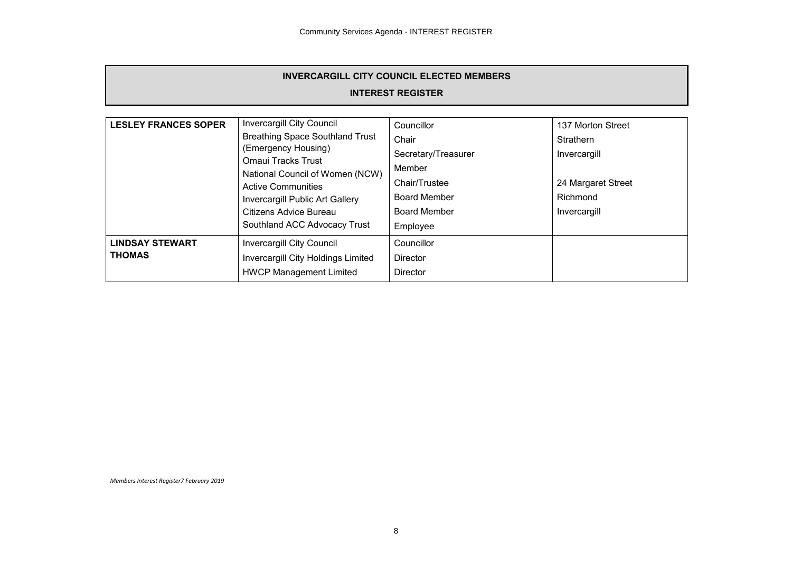#### **INTEREST REGISTER**

| <b>LESLEY FRANCES SOPER</b> | Invercargill City Council                                    | Councillor          | 137 Morton Street  |
|-----------------------------|--------------------------------------------------------------|---------------------|--------------------|
|                             | <b>Breathing Space Southland Trust</b>                       | Chair               | Strathern          |
|                             | (Emergency Housing)                                          | Secretary/Treasurer | Invercargill       |
|                             | <b>Omaui Tracks Trust</b><br>National Council of Women (NCW) | Member              |                    |
|                             | <b>Active Communities</b>                                    | Chair/Trustee       | 24 Margaret Street |
|                             | Invercargill Public Art Gallery                              | Board Member        | Richmond           |
|                             | Citizens Advice Bureau                                       | <b>Board Member</b> | Invercargill       |
|                             | Southland ACC Advocacy Trust                                 | Employee            |                    |
| <b>LINDSAY STEWART</b>      | Invercargill City Council                                    | Councillor          |                    |
| <b>THOMAS</b>               | Invercargill City Holdings Limited                           | <b>Director</b>     |                    |
|                             | <b>HWCP Management Limited</b>                               | <b>Director</b>     |                    |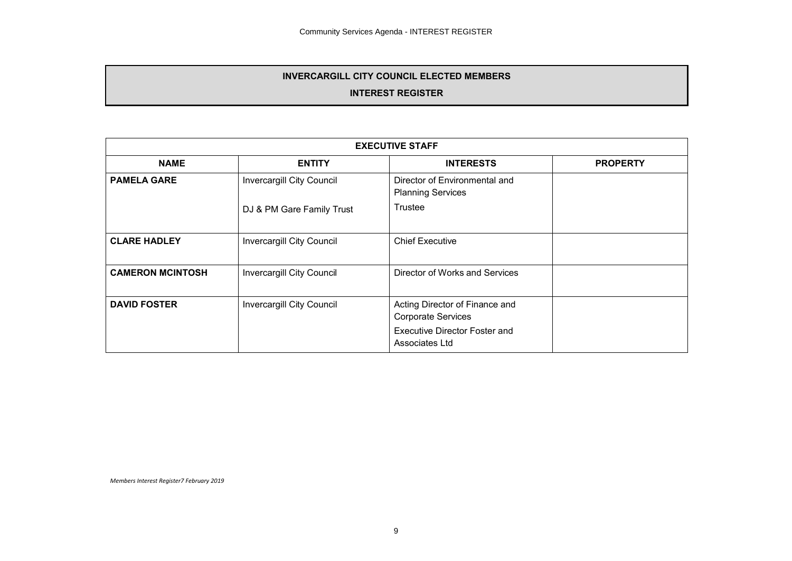#### **INTEREST REGISTER**

| <b>EXECUTIVE STAFF</b>  |                                  |                                                                                                                       |                 |
|-------------------------|----------------------------------|-----------------------------------------------------------------------------------------------------------------------|-----------------|
| <b>NAME</b>             | <b>ENTITY</b>                    | <b>INTERESTS</b>                                                                                                      | <b>PROPERTY</b> |
| <b>PAMELA GARE</b>      | <b>Invercargill City Council</b> | Director of Environmental and<br><b>Planning Services</b>                                                             |                 |
|                         | DJ & PM Gare Family Trust        | Trustee                                                                                                               |                 |
| <b>CLARE HADLEY</b>     | <b>Invercargill City Council</b> | <b>Chief Executive</b>                                                                                                |                 |
| <b>CAMERON MCINTOSH</b> | <b>Invercargill City Council</b> | Director of Works and Services                                                                                        |                 |
| <b>DAVID FOSTER</b>     | <b>Invercargill City Council</b> | Acting Director of Finance and<br><b>Corporate Services</b><br><b>Executive Director Foster and</b><br>Associates Ltd |                 |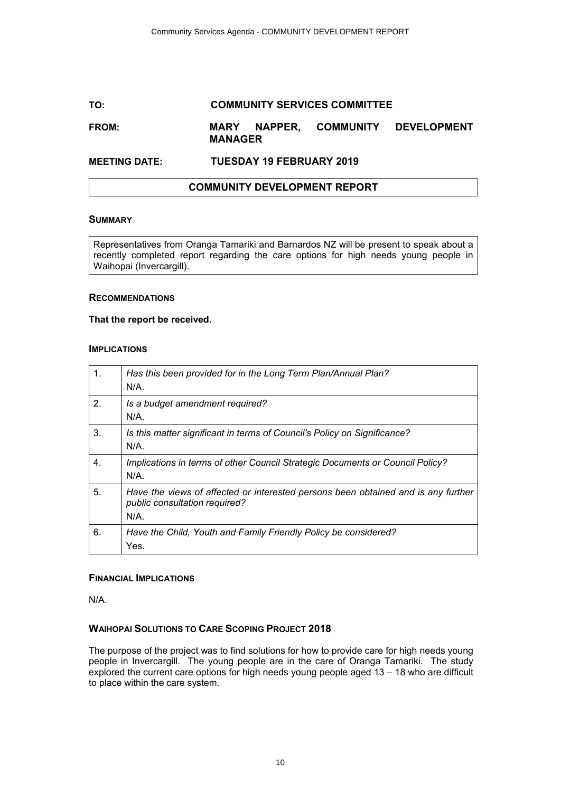# <span id="page-9-0"></span>**TO: COMMUNITY SERVICES COMMITTEE**

#### **FROM: MARY NAPPER, COMMUNITY DEVELOPMENT MANAGER**

# **MEETING DATE: TUESDAY 19 FEBRUARY 2019**

### **COMMUNITY DEVELOPMENT REPORT**

#### **SUMMARY**

Representatives from Oranga Tamariki and Barnardos NZ will be present to speak about a recently completed report regarding the care options for high needs young people in Waihopai (Invercargill).

#### **RECOMMENDATIONS**

#### **That the report be received.**

#### **IMPLICATIONS**

| 1. | Has this been provided for in the Long Term Plan/Annual Plan?<br>$N/A$ .                                                      |
|----|-------------------------------------------------------------------------------------------------------------------------------|
| 2. | Is a budget amendment required?<br>N/A.                                                                                       |
| 3. | Is this matter significant in terms of Council's Policy on Significance?<br>$N/A$ .                                           |
| 4. | Implications in terms of other Council Strategic Documents or Council Policy?<br>$N/A$ .                                      |
| 5. | Have the views of affected or interested persons been obtained and is any further<br>public consultation required?<br>$N/A$ . |
| 6. | Have the Child, Youth and Family Friendly Policy be considered?<br>Yes.                                                       |

#### **FINANCIAL IMPLICATIONS**

N/A.

### **WAIHOPAI SOLUTIONS TO CARE SCOPING PROJECT 2018**

The purpose of the project was to find solutions for how to provide care for high needs young people in Invercargill. The young people are in the care of Oranga Tamariki. The study explored the current care options for high needs young people aged 13 – 18 who are difficult to place within the care system.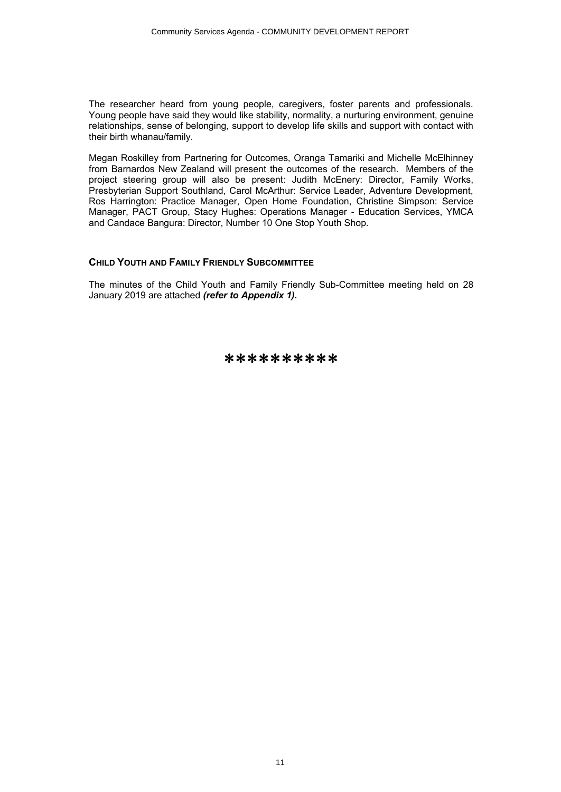The researcher heard from young people, caregivers, foster parents and professionals. Young people have said they would like stability, normality, a nurturing environment, genuine relationships, sense of belonging, support to develop life skills and support with contact with their birth whanau/family.

Megan Roskilley from Partnering for Outcomes, Oranga Tamariki and Michelle McElhinney from Barnardos New Zealand will present the outcomes of the research. Members of the project steering group will also be present: Judith McEnery: Director, Family Works, Presbyterian Support Southland, Carol McArthur: Service Leader, Adventure Development, Ros Harrington: Practice Manager, Open Home Foundation, Christine Simpson: Service Manager, PACT Group, Stacy Hughes: Operations Manager - Education Services, YMCA and Candace Bangura: Director, Number 10 One Stop Youth Shop.

### **CHILD YOUTH AND FAMILY FRIENDLY SUBCOMMITTEE**

The minutes of the Child Youth and Family Friendly Sub-Committee meeting held on 28 January 2019 are attached *(refer to Appendix 1).*

\*\*\*\*\*\*\*\*\*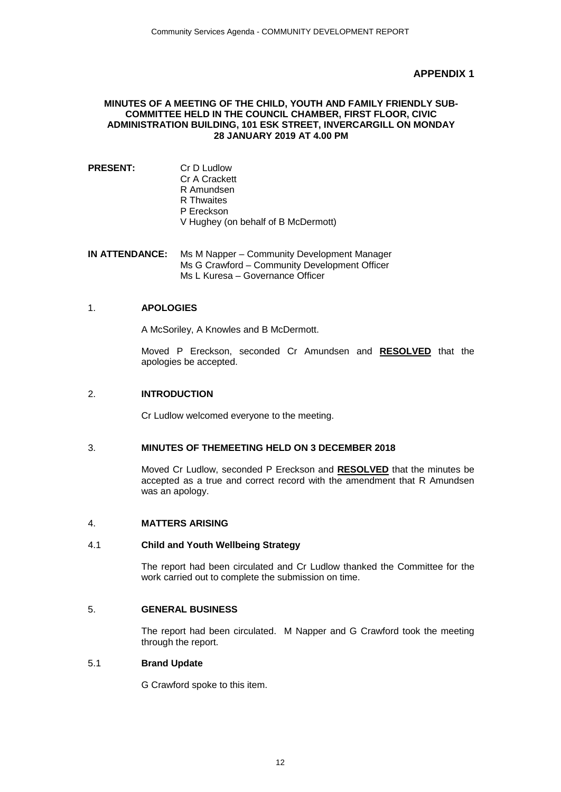# **APPENDIX 1**

#### <span id="page-11-0"></span>**MINUTES OF A MEETING OF THE CHILD, YOUTH AND FAMILY FRIENDLY SUB-COMMITTEE HELD IN THE COUNCIL CHAMBER, FIRST FLOOR, CIVIC ADMINISTRATION BUILDING, 101 ESK STREET, INVERCARGILL ON MONDAY 28 JANUARY 2019 AT 4.00 PM**

**PRESENT:** Cr D Ludlow Cr A Crackett R Amundsen R Thwaites P Ereckson V Hughey (on behalf of B McDermott)

**IN ATTENDANCE:** Ms M Napper – Community Development Manager Ms G Crawford – Community Development Officer Ms L Kuresa – Governance Officer

### 1. **APOLOGIES**

A McSoriley, A Knowles and B McDermott.

Moved P Ereckson, seconded Cr Amundsen and **RESOLVED** that the apologies be accepted.

## 2. **INTRODUCTION**

Cr Ludlow welcomed everyone to the meeting.

# 3. **MINUTES OF THEMEETING HELD ON 3 DECEMBER 2018**

Moved Cr Ludlow, seconded P Ereckson and **RESOLVED** that the minutes be accepted as a true and correct record with the amendment that R Amundsen was an apology.

### 4. **MATTERS ARISING**

### 4.1 **Child and Youth Wellbeing Strategy**

The report had been circulated and Cr Ludlow thanked the Committee for the work carried out to complete the submission on time.

### 5. **GENERAL BUSINESS**

The report had been circulated. M Napper and G Crawford took the meeting through the report.

#### 5.1 **Brand Update**

G Crawford spoke to this item.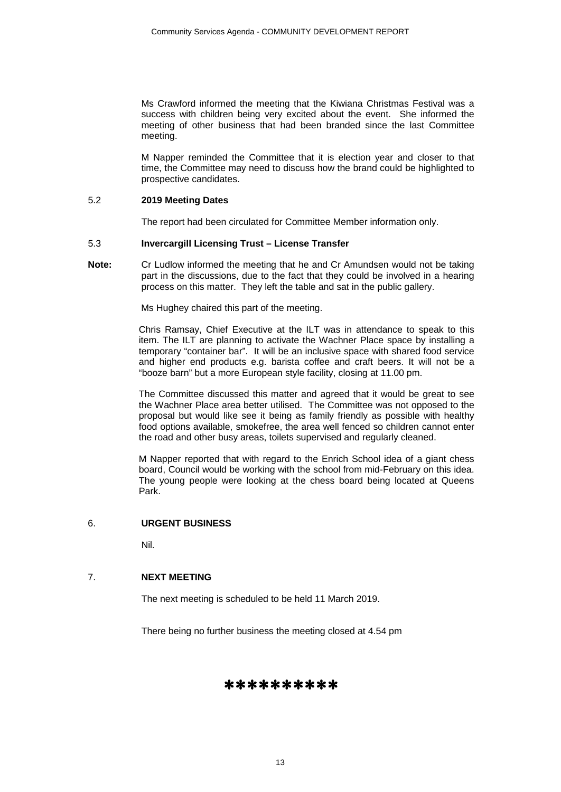Ms Crawford informed the meeting that the Kiwiana Christmas Festival was a success with children being very excited about the event. She informed the meeting of other business that had been branded since the last Committee meeting.

M Napper reminded the Committee that it is election year and closer to that time, the Committee may need to discuss how the brand could be highlighted to prospective candidates.

#### 5.2 **2019 Meeting Dates**

The report had been circulated for Committee Member information only.

#### 5.3 **Invercargill Licensing Trust – License Transfer**

**Note:** Cr Ludlow informed the meeting that he and Cr Amundsen would not be taking part in the discussions, due to the fact that they could be involved in a hearing process on this matter. They left the table and sat in the public gallery.

Ms Hughey chaired this part of the meeting.

Chris Ramsay, Chief Executive at the ILT was in attendance to speak to this item. The ILT are planning to activate the Wachner Place space by installing a temporary "container bar". It will be an inclusive space with shared food service and higher end products e.g. barista coffee and craft beers. It will not be a "booze barn" but a more European style facility, closing at 11.00 pm.

The Committee discussed this matter and agreed that it would be great to see the Wachner Place area better utilised. The Committee was not opposed to the proposal but would like see it being as family friendly as possible with healthy food options available, smokefree, the area well fenced so children cannot enter the road and other busy areas, toilets supervised and regularly cleaned.

M Napper reported that with regard to the Enrich School idea of a giant chess board, Council would be working with the school from mid-February on this idea. The young people were looking at the chess board being located at Queens Park.

#### 6. **URGENT BUSINESS**

Nil.

### 7. **NEXT MEETING**

The next meeting is scheduled to be held 11 March 2019.

There being no further business the meeting closed at 4.54 pm

# ∗∗∗∗∗∗∗∗∗∗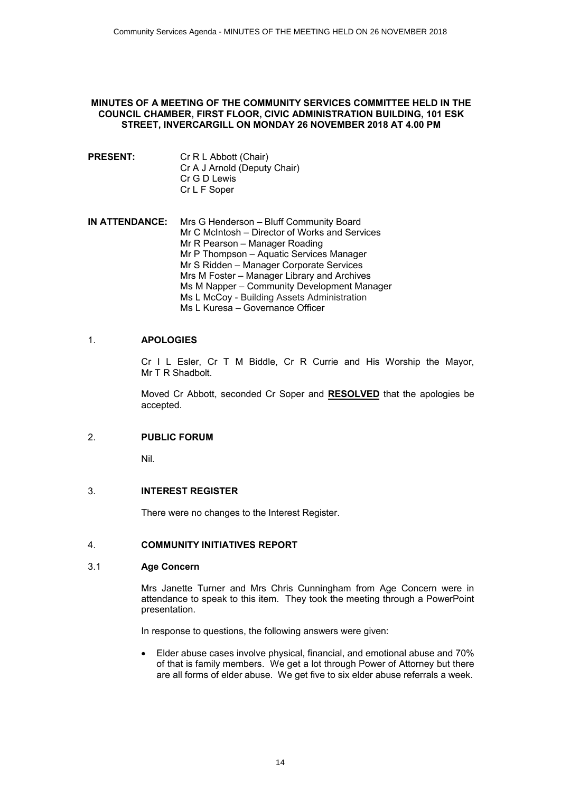#### <span id="page-13-0"></span>**MINUTES OF A MEETING OF THE COMMUNITY SERVICES COMMITTEE HELD IN THE COUNCIL CHAMBER, FIRST FLOOR, CIVIC ADMINISTRATION BUILDING, 101 ESK STREET, INVERCARGILL ON MONDAY 26 NOVEMBER 2018 AT 4.00 PM**

- **PRESENT:** Cr R L Abbott (Chair) Cr A J Arnold (Deputy Chair) Cr G D Lewis Cr L F Soper
- **IN ATTENDANCE:** Mrs G Henderson Bluff Community Board Mr C McIntosh – Director of Works and Services Mr R Pearson – Manager Roading Mr P Thompson – Aquatic Services Manager Mr S Ridden – Manager Corporate Services Mrs M Foster – Manager Library and Archives Ms M Napper – Community Development Manager Ms L McCoy - Building Assets Administration Ms L Kuresa – Governance Officer

# 1. **APOLOGIES**

Cr I L Esler, Cr T M Biddle, Cr R Currie and His Worship the Mayor, Mr T R Shadbolt.

Moved Cr Abbott, seconded Cr Soper and **RESOLVED** that the apologies be accepted.

# 2. **PUBLIC FORUM**

Nil.

### 3. **INTEREST REGISTER**

There were no changes to the Interest Register.

### 4. **COMMUNITY INITIATIVES REPORT**

### 3.1 **Age Concern**

Mrs Janette Turner and Mrs Chris Cunningham from Age Concern were in attendance to speak to this item. They took the meeting through a PowerPoint presentation.

In response to questions, the following answers were given:

Elder abuse cases involve physical, financial, and emotional abuse and 70% of that is family members. We get a lot through Power of Attorney but there are all forms of elder abuse. We get five to six elder abuse referrals a week.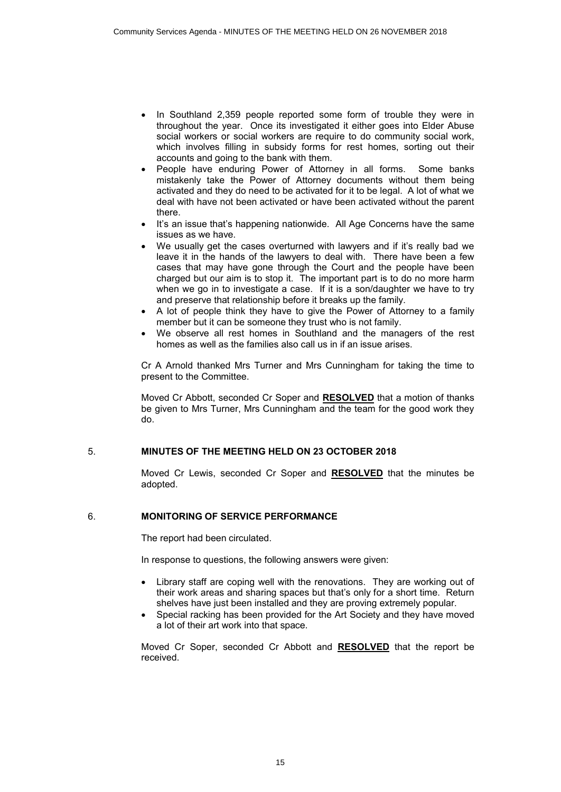- In Southland 2,359 people reported some form of trouble they were in throughout the year. Once its investigated it either goes into Elder Abuse social workers or social workers are require to do community social work, which involves filling in subsidy forms for rest homes, sorting out their accounts and going to the bank with them.
- People have enduring Power of Attorney in all forms. Some banks mistakenly take the Power of Attorney documents without them being activated and they do need to be activated for it to be legal. A lot of what we deal with have not been activated or have been activated without the parent there.
- It's an issue that's happening nationwide. All Age Concerns have the same issues as we have.
- We usually get the cases overturned with lawyers and if it's really bad we leave it in the hands of the lawyers to deal with. There have been a few cases that may have gone through the Court and the people have been charged but our aim is to stop it. The important part is to do no more harm when we go in to investigate a case. If it is a son/daughter we have to try and preserve that relationship before it breaks up the family.
- ∑ A lot of people think they have to give the Power of Attorney to a family member but it can be someone they trust who is not family.
- We observe all rest homes in Southland and the managers of the rest homes as well as the families also call us in if an issue arises.

Cr A Arnold thanked Mrs Turner and Mrs Cunningham for taking the time to present to the Committee.

Moved Cr Abbott, seconded Cr Soper and **RESOLVED** that a motion of thanks be given to Mrs Turner, Mrs Cunningham and the team for the good work they do.

### 5. **MINUTES OF THE MEETING HELD ON 23 OCTOBER 2018**

Moved Cr Lewis, seconded Cr Soper and **RESOLVED** that the minutes be adopted.

### 6. **MONITORING OF SERVICE PERFORMANCE**

The report had been circulated.

In response to questions, the following answers were given:

- Library staff are coping well with the renovations. They are working out of their work areas and sharing spaces but that's only for a short time. Return shelves have just been installed and they are proving extremely popular.
- Special racking has been provided for the Art Society and they have moved a lot of their art work into that space.

Moved Cr Soper, seconded Cr Abbott and **RESOLVED** that the report be received.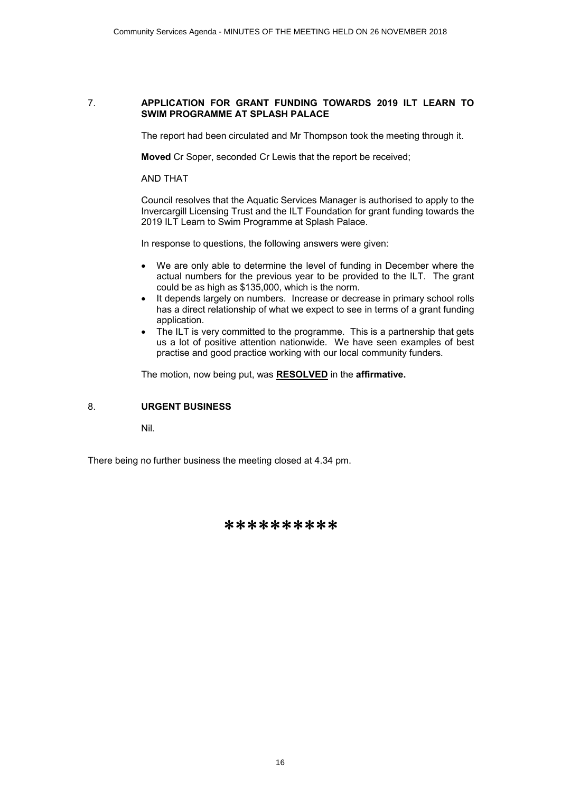#### 7. **APPLICATION FOR GRANT FUNDING TOWARDS 2019 ILT LEARN TO SWIM PROGRAMME AT SPLASH PALACE**

The report had been circulated and Mr Thompson took the meeting through it.

**Moved** Cr Soper, seconded Cr Lewis that the report be received;

AND THAT

Council resolves that the Aquatic Services Manager is authorised to apply to the Invercargill Licensing Trust and the ILT Foundation for grant funding towards the 2019 ILT Learn to Swim Programme at Splash Palace.

In response to questions, the following answers were given:

- We are only able to determine the level of funding in December where the actual numbers for the previous year to be provided to the ILT. The grant could be as high as \$135,000, which is the norm.
- It depends largely on numbers. Increase or decrease in primary school rolls has a direct relationship of what we expect to see in terms of a grant funding application.
- The ILT is very committed to the programme. This is a partnership that gets us a lot of positive attention nationwide. We have seen examples of best practise and good practice working with our local community funders.

The motion, now being put, was **RESOLVED** in the **affirmative.**

### 8. **URGENT BUSINESS**

Nil.

There being no further business the meeting closed at 4.34 pm.

# \*\*\*\*\*\*\*\*\*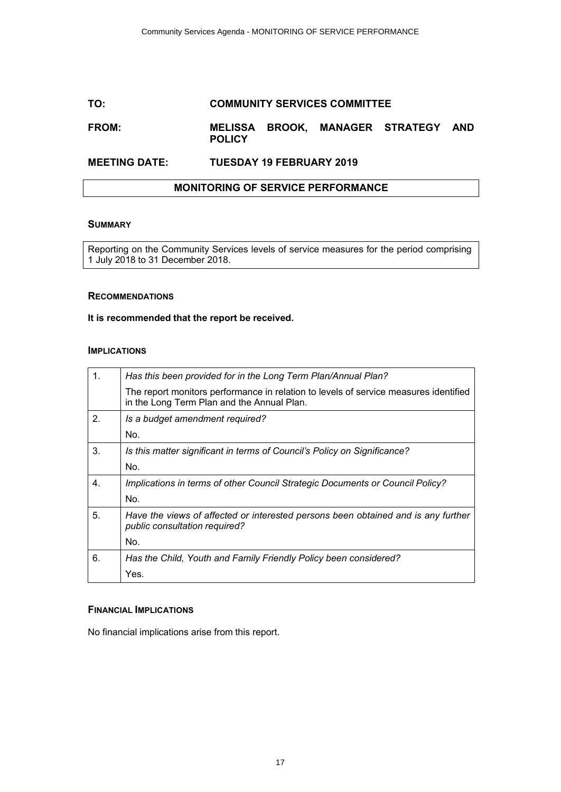# <span id="page-16-0"></span>**TO: COMMUNITY SERVICES COMMITTEE**

### **FROM: MELISSA BROOK, MANAGER STRATEGY AND POLICY**

# **MEETING DATE: TUESDAY 19 FEBRUARY 2019**

#### **MONITORING OF SERVICE PERFORMANCE**

### **SUMMARY**

Reporting on the Community Services levels of service measures for the period comprising 1 July 2018 to 31 December 2018.

#### **RECOMMENDATIONS**

#### **It is recommended that the report be received.**

#### **IMPLICATIONS**

| $1_{-}$ | Has this been provided for in the Long Term Plan/Annual Plan?                                                                      |
|---------|------------------------------------------------------------------------------------------------------------------------------------|
|         | The report monitors performance in relation to levels of service measures identified<br>in the Long Term Plan and the Annual Plan. |
| 2.      | Is a budget amendment required?                                                                                                    |
|         | No.                                                                                                                                |
| 3.      | Is this matter significant in terms of Council's Policy on Significance?                                                           |
|         | No.                                                                                                                                |
| 4.      | Implications in terms of other Council Strategic Documents or Council Policy?                                                      |
|         | No.                                                                                                                                |
| 5.      | Have the views of affected or interested persons been obtained and is any further<br>public consultation required?                 |
|         | No.                                                                                                                                |
| 6.      | Has the Child, Youth and Family Friendly Policy been considered?                                                                   |
|         | Yes.                                                                                                                               |

#### **FINANCIAL IMPLICATIONS**

No financial implications arise from this report.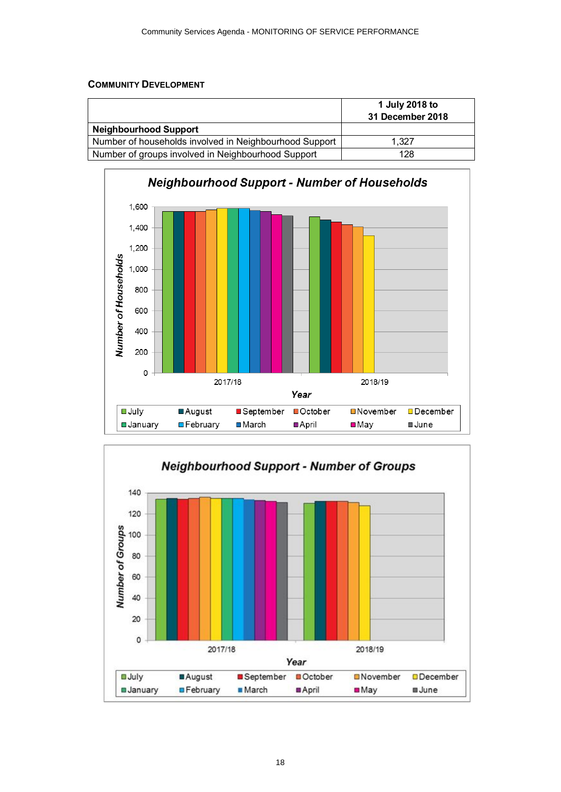# <span id="page-17-0"></span>**COMMUNITY DEVELOPMENT**

|                                                        | 1 July 2018 to<br>31 December 2018 |
|--------------------------------------------------------|------------------------------------|
| <b>Neighbourhood Support</b>                           |                                    |
| Number of households involved in Neighbourhood Support | 1.327                              |
| Number of groups involved in Neighbourhood Support     | 128                                |



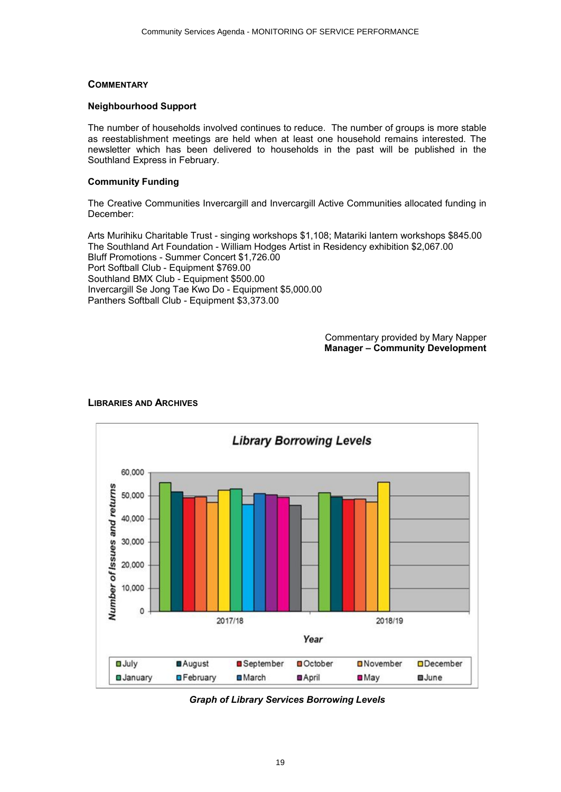### <span id="page-18-0"></span>**COMMENTARY**

#### **Neighbourhood Support**

The number of households involved continues to reduce. The number of groups is more stable as reestablishment meetings are held when at least one household remains interested. The newsletter which has been delivered to households in the past will be published in the Southland Express in February.

#### **Community Funding**

The Creative Communities Invercargill and Invercargill Active Communities allocated funding in December:

Arts Murihiku Charitable Trust - singing workshops \$1,108; Matariki lantern workshops \$845.00 The Southland Art Foundation - William Hodges Artist in Residency exhibition \$2,067.00 Bluff Promotions - Summer Concert \$1,726.00 Port Softball Club - Equipment \$769.00 Southland BMX Club - Equipment \$500.00 Invercargill Se Jong Tae Kwo Do - Equipment \$5,000.00 Panthers Softball Club - Equipment \$3,373.00

> Commentary provided by Mary Napper **Manager – Community Development**



# **LIBRARIES AND ARCHIVES**

*Graph of Library Services Borrowing Levels*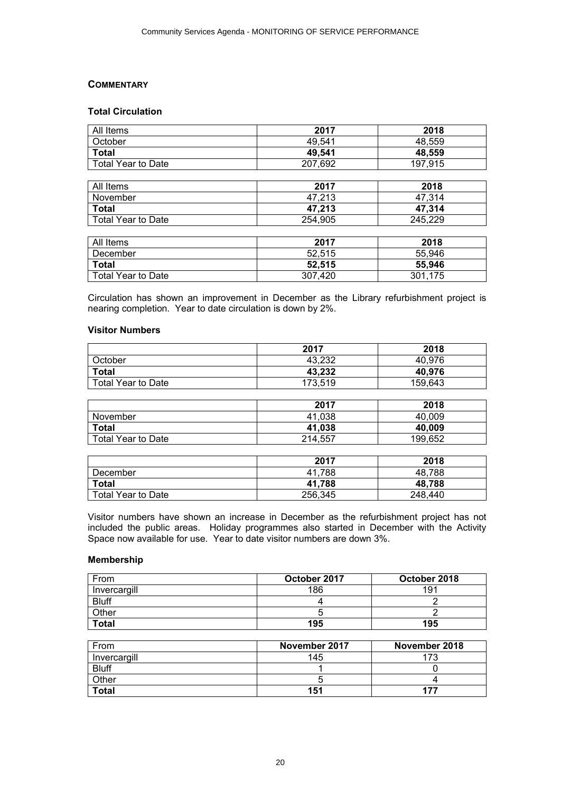### **COMMENTARY**

# **Total Circulation**

| All Items                 | 2017    | 2018    |
|---------------------------|---------|---------|
| October                   | 49.541  | 48,559  |
| <b>Total</b>              | 49,541  | 48,559  |
| <b>Total Year to Date</b> | 207,692 | 197,915 |
|                           |         |         |
| All Items                 | 2017    | 2018    |
| November                  | 47,213  | 47,314  |
| <b>Total</b>              | 47,213  | 47,314  |
| <b>Total Year to Date</b> | 254,905 | 245,229 |
|                           |         |         |
| All Items                 | 2017    | 2018    |
| December                  | 52,515  | 55,946  |
| <b>Total</b>              | 52,515  | 55,946  |
| <b>Total Year to Date</b> | 307,420 | 301,175 |

Circulation has shown an improvement in December as the Library refurbishment project is nearing completion. Year to date circulation is down by 2%.

#### **Visitor Numbers**

|                           | 2017    | 2018    |
|---------------------------|---------|---------|
| October                   | 43,232  | 40,976  |
| <b>Total</b>              | 43,232  | 40,976  |
| <b>Total Year to Date</b> | 173,519 | 159,643 |
|                           |         |         |
|                           | 2017    | 2018    |
| November                  | 41,038  | 40,009  |
| <b>Total</b>              | 41,038  | 40,009  |
| <b>Total Year to Date</b> | 214,557 | 199,652 |

|                           | 2017    | 2018    |
|---------------------------|---------|---------|
| December                  | 41.788  | 48.788  |
| <b>Total</b>              | 41.788  | 48,788  |
| <b>Total Year to Date</b> | 256,345 | 248,440 |

Visitor numbers have shown an increase in December as the refurbishment project has not included the public areas. Holiday programmes also started in December with the Activity Space now available for use. Year to date visitor numbers are down 3%.

#### **Membership**

| From         | October 2017 | October 2018 |
|--------------|--------------|--------------|
| Invercargill | 186          | 191          |
| <b>Bluff</b> |              |              |
| Other        |              |              |
| <b>Total</b> | 195          | 195          |

| From         | November 2017 | November 2018 |
|--------------|---------------|---------------|
| Invercargill | 145           | 173           |
| <b>Bluff</b> |               |               |
| Other        |               |               |
| <b>Total</b> | 151           | 177           |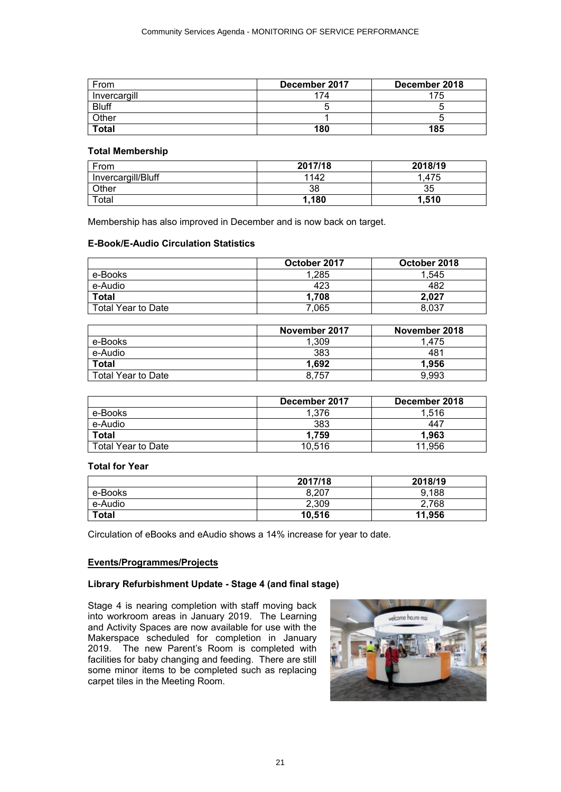| From         | December 2017 | December 2018 |
|--------------|---------------|---------------|
| Invercargill | 74            | 75            |
| <b>Bluff</b> |               |               |
| Other        |               |               |
| <b>Total</b> | 180           | 185           |

#### **Total Membership**

| From               | 2017/18 | 2018/19 |
|--------------------|---------|---------|
| Invercargill/Bluff | 1142    | .475    |
| Other              | 38      | 35      |
| Total              | .180    | 1.510   |

Membership has also improved in December and is now back on target.

#### **E-Book/E-Audio Circulation Statistics**

|                    | October 2017 | October 2018 |
|--------------------|--------------|--------------|
| e-Books            | 1,285        | 1.545        |
| e-Audio            | 423          | 482          |
| <b>Total</b>       | 1,708        | 2.027        |
| Total Year to Date | 7,065        | 8,037        |

|                    | November 2017 | November 2018 |
|--------------------|---------------|---------------|
| e-Books            | 1,309         | 1.475         |
| e-Audio            | 383           | 481           |
| <b>Total</b>       | 1.692         | 1.956         |
| Total Year to Date | 8.757         | 9.993         |

|                    | December 2017 | December 2018 |
|--------------------|---------------|---------------|
| e-Books            | 1.376         | 1.516         |
| e-Audio            | 383           | 447           |
| <b>Total</b>       | 1.759         | 1.963         |
| Total Year to Date | 10,516        | 11.956        |

#### **Total for Year**

|              | 2017/18 | 2018/19 |
|--------------|---------|---------|
| e-Books      | 8,207   | 9,188   |
| e-Audio      | 2,309   | 2,768   |
| <b>Total</b> | 10.516  | 11,956  |

Circulation of eBooks and eAudio shows a 14% increase for year to date.

#### **Events/Programmes/Projects**

#### **Library Refurbishment Update - Stage 4 (and final stage)**

Stage 4 is nearing completion with staff moving back into workroom areas in January 2019. The Learning and Activity Spaces are now available for use with the Makerspace scheduled for completion in January 2019. The new Parent's Room is completed with facilities for baby changing and feeding. There are still some minor items to be completed such as replacing carpet tiles in the Meeting Room.

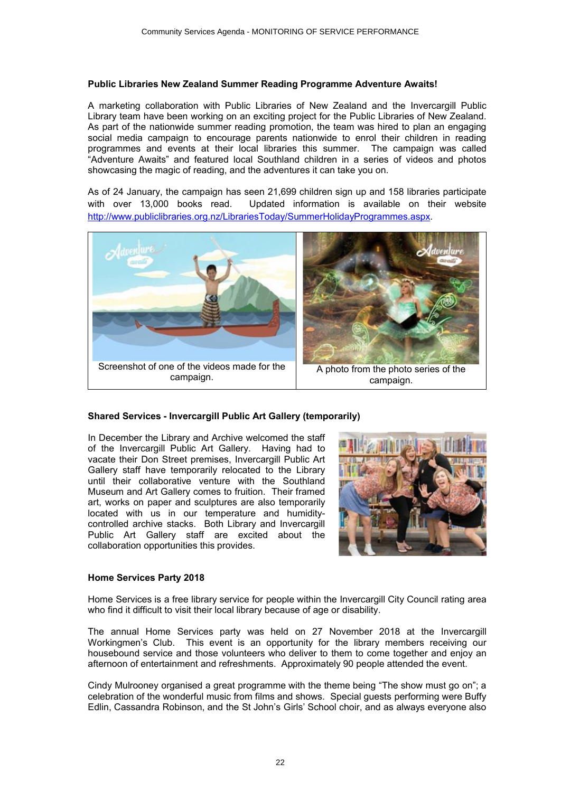#### **Public Libraries New Zealand Summer Reading Programme Adventure Awaits!**

A marketing collaboration with Public Libraries of New Zealand and the Invercargill Public Library team have been working on an exciting project for the Public Libraries of New Zealand. As part of the nationwide summer reading promotion, the team was hired to plan an engaging social media campaign to encourage parents nationwide to enrol their children in reading programmes and events at their local libraries this summer. The campaign was called "Adventure Awaits" and featured local Southland children in a series of videos and photos showcasing the magic of reading, and the adventures it can take you on.

As of 24 January, the campaign has seen 21,699 children sign up and 158 libraries participate with over 13,000 books read. Updated information is available on their website [http://www.publiclibraries.org.nz/LibrariesToday/SummerHolidayProgrammes.aspx.](http://www.publiclibraries.org.nz/LibrariesToday/SummerHolidayProgrammes.aspx)



### **Shared Services - Invercargill Public Art Gallery (temporarily)**

In December the Library and Archive welcomed the staff of the Invercargill Public Art Gallery. Having had to vacate their Don Street premises, Invercargill Public Art Gallery staff have temporarily relocated to the Library until their collaborative venture with the Southland Museum and Art Gallery comes to fruition. Their framed art, works on paper and sculptures are also temporarily located with us in our temperature and humiditycontrolled archive stacks. Both Library and Invercargill Public Art Gallery staff are excited about the collaboration opportunities this provides.



### **Home Services Party 2018**

Home Services is a free library service for people within the Invercargill City Council rating area who find it difficult to visit their local library because of age or disability.

The annual Home Services party was held on 27 November 2018 at the Invercargill Workingmen's Club. This event is an opportunity for the library members receiving our housebound service and those volunteers who deliver to them to come together and enjoy an afternoon of entertainment and refreshments. Approximately 90 people attended the event.

Cindy Mulrooney organised a great programme with the theme being "The show must go on"; a celebration of the wonderful music from films and shows. Special guests performing were Buffy Edlin, Cassandra Robinson, and the St John's Girls' School choir, and as always everyone also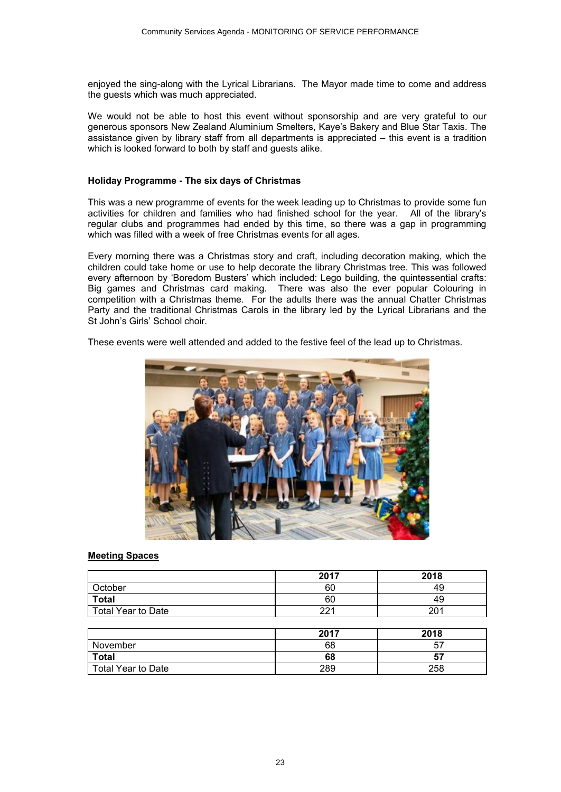enjoyed the sing-along with the Lyrical Librarians. The Mayor made time to come and address the guests which was much appreciated.

We would not be able to host this event without sponsorship and are very grateful to our generous sponsors New Zealand Aluminium Smelters, Kaye's Bakery and Blue Star Taxis. The assistance given by library staff from all departments is appreciated – this event is a tradition which is looked forward to both by staff and guests alike.

#### **Holiday Programme - The six days of Christmas**

This was a new programme of events for the week leading up to Christmas to provide some fun activities for children and families who had finished school for the year. All of the library's regular clubs and programmes had ended by this time, so there was a gap in programming which was filled with a week of free Christmas events for all ages.

Every morning there was a Christmas story and craft, including decoration making, which the children could take home or use to help decorate the library Christmas tree. This was followed every afternoon by 'Boredom Busters' which included: Lego building, the quintessential crafts: Big games and Christmas card making. There was also the ever popular Colouring in competition with a Christmas theme. For the adults there was the annual Chatter Christmas Party and the traditional Christmas Carols in the library led by the Lyrical Librarians and the St John's Girls' School choir.

These events were well attended and added to the festive feel of the lead up to Christmas.



#### **Meeting Spaces**

|                           | 2017 | 2018 |
|---------------------------|------|------|
| )ctober                   | 60   | 49   |
| <b>Total</b>              | 60   | 49   |
| <b>Total Year to Date</b> | nn 1 | 201  |

|                    | 2017 | 2018 |
|--------------------|------|------|
| November           | 68   | 57   |
| <b>Total</b>       | 68   | 57   |
| Total Year to Date | 289  | 258  |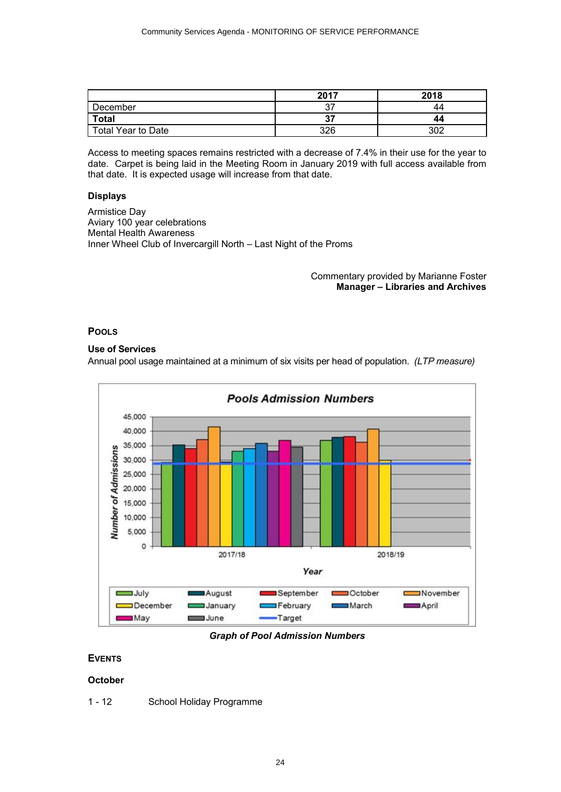<span id="page-23-0"></span>

|                    | 2017    | 2018 |
|--------------------|---------|------|
| December           | ^7<br>ິ | 44   |
| <b>Total</b>       | 57      | 44   |
| Total Year to Date | 326     | ふいつ  |

Access to meeting spaces remains restricted with a decrease of 7.4% in their use for the year to date. Carpet is being laid in the Meeting Room in January 2019 with full access available from that date. It is expected usage will increase from that date.

#### **Displays**

Armistice Day Aviary 100 year celebrations Mental Health Awareness Inner Wheel Club of Invercargill North – Last Night of the Proms

#### Commentary provided by Marianne Foster **Manager – Libraries and Archives**

#### **POOLS**

### **Use of Services**

Annual pool usage maintained at a minimum of six visits per head of population. *(LTP measure)*



#### *Graph of Pool Admission Numbers*

### **EVENTS**

#### **October**

1 - 12 School Holiday Programme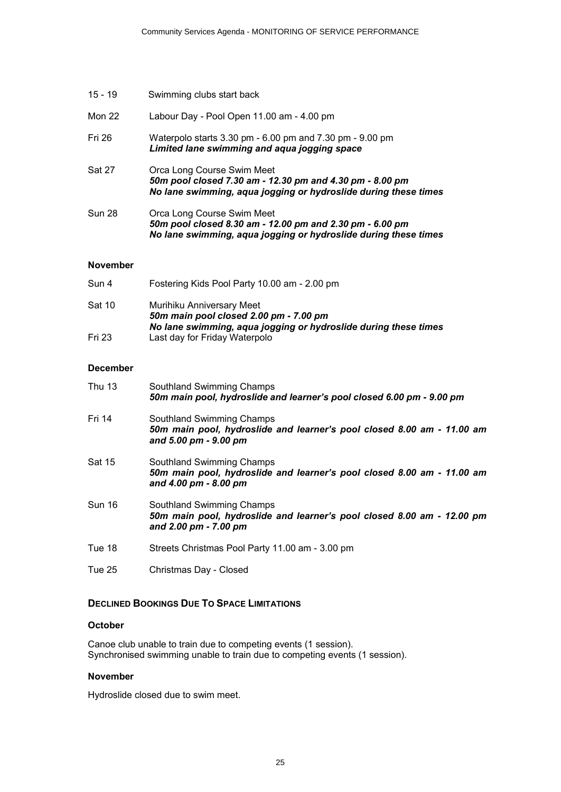| 15 - 19         | Swimming clubs start back                                                                                                                                 |
|-----------------|-----------------------------------------------------------------------------------------------------------------------------------------------------------|
| <b>Mon 22</b>   | Labour Day - Pool Open 11.00 am - 4.00 pm                                                                                                                 |
| Fri 26          | Waterpolo starts 3.30 pm - 6.00 pm and 7.30 pm - 9.00 pm<br>Limited lane swimming and aqua jogging space                                                  |
| Sat 27          | Orca Long Course Swim Meet<br>50m pool closed 7.30 am - 12.30 pm and 4.30 pm - 8.00 pm<br>No lane swimming, aqua jogging or hydroslide during these times |
| Sun 28          | Orca Long Course Swim Meet<br>50m pool closed 8.30 am - 12.00 pm and 2.30 pm - 6.00 pm<br>No lane swimming, aqua jogging or hydroslide during these times |
| <b>November</b> |                                                                                                                                                           |
| Sun 4           | Fostering Kids Pool Party 10.00 am - 2.00 pm                                                                                                              |
| $C_{n+1}$ 10    | Muribiku Anniversory Most                                                                                                                                 |

| sat 10 | <b>MUTINIKU ANNIVERSARY MEET</b>                                |
|--------|-----------------------------------------------------------------|
|        | 50m main pool closed 2.00 pm - 7.00 pm                          |
|        | No lane swimming, aqua jogging or hydroslide during these times |
| Fri 23 | Last day for Friday Waterpolo                                   |

# **December**

| <b>Thu 13</b> | Southland Swimming Champs<br>50m main pool, hydroslide and learner's pool closed 6.00 pm - 9.00 pm                           |
|---------------|------------------------------------------------------------------------------------------------------------------------------|
| Fri 14        | Southland Swimming Champs<br>50m main pool, hydroslide and learner's pool closed 8.00 am - 11.00 am<br>and 5.00 pm - 9.00 pm |
| <b>Sat 15</b> | Southland Swimming Champs<br>50m main pool, hydroslide and learner's pool closed 8.00 am - 11.00 am<br>and 4.00 pm - 8.00 pm |
| <b>Sun 16</b> | Southland Swimming Champs<br>50m main pool, hydroslide and learner's pool closed 8.00 am - 12.00 pm<br>and 2.00 pm - 7.00 pm |
| Tue 18        | Streets Christmas Pool Party 11.00 am - 3.00 pm                                                                              |
| Tue 25        | Christmas Day - Closed                                                                                                       |

# **DECLINED BOOKINGS DUE TO SPACE LIMITATIONS**

# **October**

Canoe club unable to train due to competing events (1 session). Synchronised swimming unable to train due to competing events (1 session).

#### **November**

Hydroslide closed due to swim meet.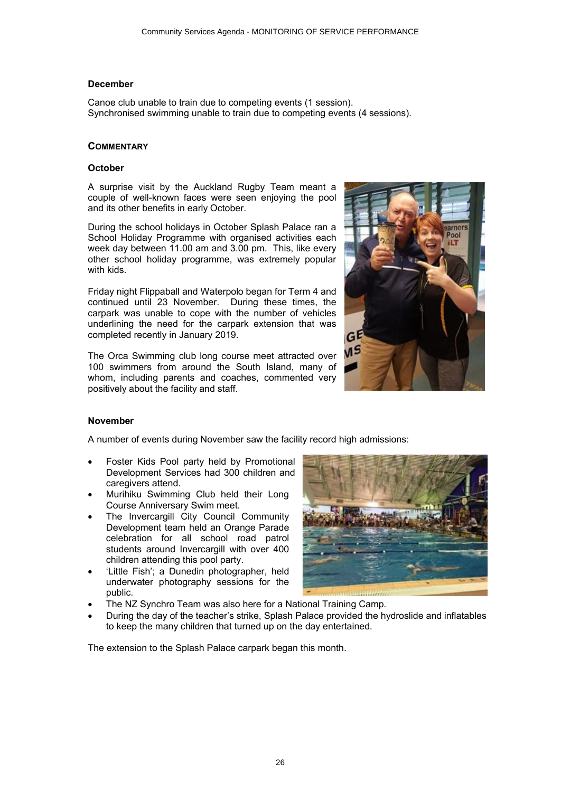#### **December**

Canoe club unable to train due to competing events (1 session). Synchronised swimming unable to train due to competing events (4 sessions).

#### **COMMENTARY**

#### **October**

A surprise visit by the Auckland Rugby Team meant a couple of well-known faces were seen enjoying the pool and its other benefits in early October.

During the school holidays in October Splash Palace ran a School Holiday Programme with organised activities each week day between 11.00 am and 3.00 pm. This, like every other school holiday programme, was extremely popular with kids.

Friday night Flippaball and Waterpolo began for Term 4 and continued until 23 November. During these times, the carpark was unable to cope with the number of vehicles underlining the need for the carpark extension that was completed recently in January 2019.

The Orca Swimming club long course meet attracted over 100 swimmers from around the South Island, many of whom, including parents and coaches, commented very positively about the facility and staff.



### **November**

A number of events during November saw the facility record high admissions:

- ∑ Foster Kids Pool party held by Promotional Development Services had 300 children and caregivers attend.
- ∑ Murihiku Swimming Club held their Long Course Anniversary Swim meet.
- The Invercargill City Council Community Development team held an Orange Parade celebration for all school road patrol students around Invercargill with over 400 children attending this pool party.
- ∑ 'Little Fish'; a Dunedin photographer, held underwater photography sessions for the public.
- 
- ∑ The NZ Synchro Team was also here for a National Training Camp.
- ∑ During the day of the teacher's strike, Splash Palace provided the hydroslide and inflatables to keep the many children that turned up on the day entertained.

The extension to the Splash Palace carpark began this month.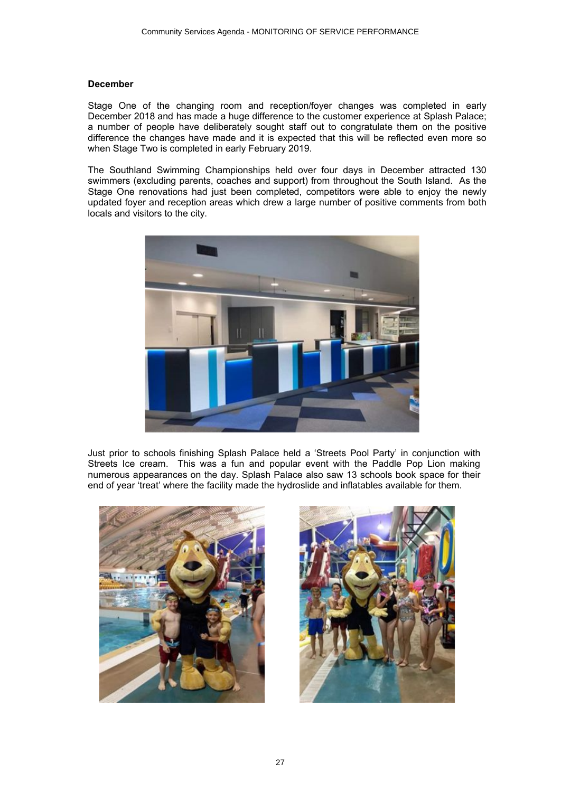#### **December**

Stage One of the changing room and reception/foyer changes was completed in early December 2018 and has made a huge difference to the customer experience at Splash Palace; a number of people have deliberately sought staff out to congratulate them on the positive difference the changes have made and it is expected that this will be reflected even more so when Stage Two is completed in early February 2019.

The Southland Swimming Championships held over four days in December attracted 130 swimmers (excluding parents, coaches and support) from throughout the South Island. As the Stage One renovations had just been completed, competitors were able to enjoy the newly updated foyer and reception areas which drew a large number of positive comments from both locals and visitors to the city.



Just prior to schools finishing Splash Palace held a 'Streets Pool Party' in conjunction with Streets Ice cream. This was a fun and popular event with the Paddle Pop Lion making numerous appearances on the day. Splash Palace also saw 13 schools book space for their end of year 'treat' where the facility made the hydroslide and inflatables available for them.



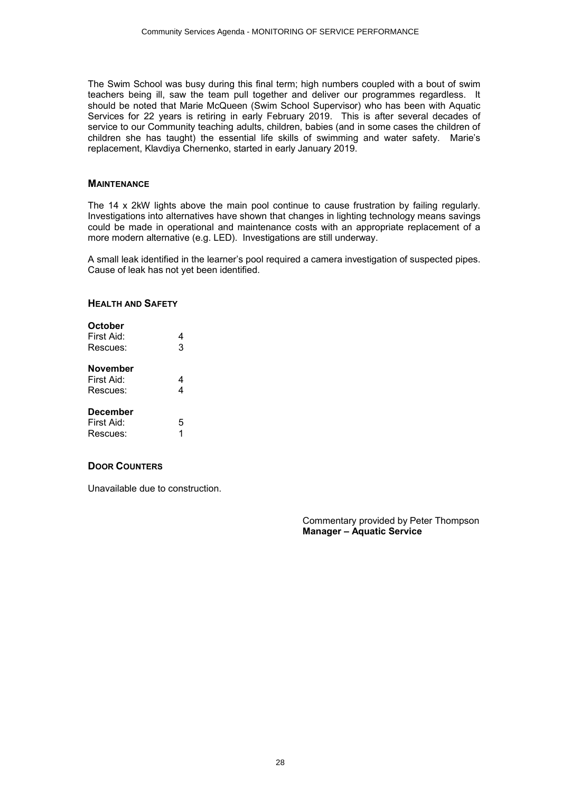The Swim School was busy during this final term; high numbers coupled with a bout of swim teachers being ill, saw the team pull together and deliver our programmes regardless. It should be noted that Marie McQueen (Swim School Supervisor) who has been with Aquatic Services for 22 years is retiring in early February 2019. This is after several decades of service to our Community teaching adults, children, babies (and in some cases the children of children she has taught) the essential life skills of swimming and water safety. Marie's replacement, Klavdiya Chernenko, started in early January 2019.

#### **MAINTENANCE**

The 14 x 2kW lights above the main pool continue to cause frustration by failing regularly. Investigations into alternatives have shown that changes in lighting technology means savings could be made in operational and maintenance costs with an appropriate replacement of a more modern alternative (e.g. LED). Investigations are still underway.

A small leak identified in the learner's pool required a camera investigation of suspected pipes. Cause of leak has not yet been identified.

#### **HEALTH AND SAFETY**

| October<br>First Aid:<br>Rescues:  | 4<br>3 |
|------------------------------------|--------|
| November<br>First Aid:<br>Rescues: | 4<br>4 |
| December<br>First Aid:<br>Rescues: | 5<br>1 |

#### **DOOR COUNTERS**

Unavailable due to construction.

Commentary provided by Peter Thompson **Manager – Aquatic Service**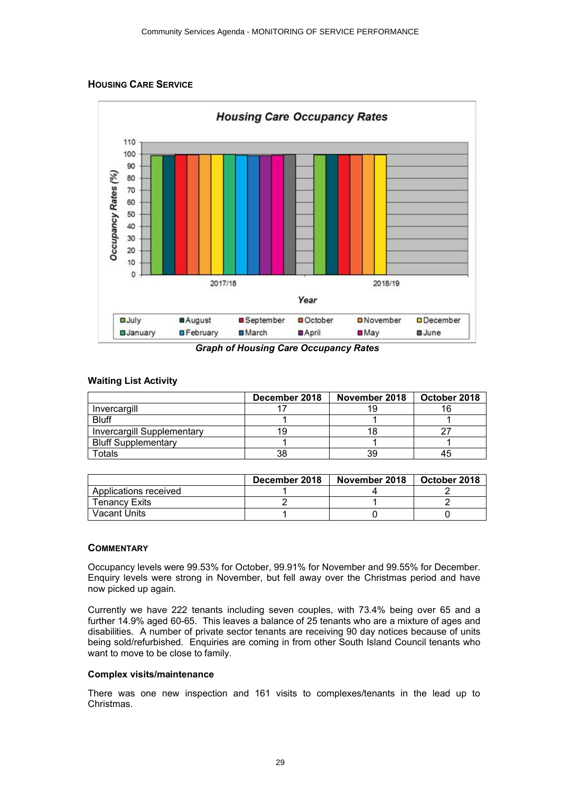# <span id="page-28-0"></span>**HOUSING CARE SERVICE**



*Graph of Housing Care Occupancy Rates*

# **Waiting List Activity**

|                                   | December 2018 | November 2018 | October 2018 |
|-----------------------------------|---------------|---------------|--------------|
| Invercargill                      |               | 19            |              |
| <b>Bluff</b>                      |               |               |              |
| <b>Invercargill Supplementary</b> |               |               |              |
| <b>Bluff Supplementary</b>        |               |               |              |
| Гotals                            | 38            | 39            |              |

|                       | December 2018 | November 2018 | October 2018 |
|-----------------------|---------------|---------------|--------------|
| Applications received |               |               |              |
| <b>Tenancy Exits</b>  |               |               |              |
| Vacant Units          |               |               |              |

### **COMMENTARY**

Occupancy levels were 99.53% for October, 99.91% for November and 99.55% for December. Enquiry levels were strong in November, but fell away over the Christmas period and have now picked up again.

Currently we have 222 tenants including seven couples, with 73.4% being over 65 and a further 14.9% aged 60-65. This leaves a balance of 25 tenants who are a mixture of ages and disabilities. A number of private sector tenants are receiving 90 day notices because of units being sold/refurbished. Enquiries are coming in from other South Island Council tenants who want to move to be close to family.

### **Complex visits/maintenance**

There was one new inspection and 161 visits to complexes/tenants in the lead up to Christmas.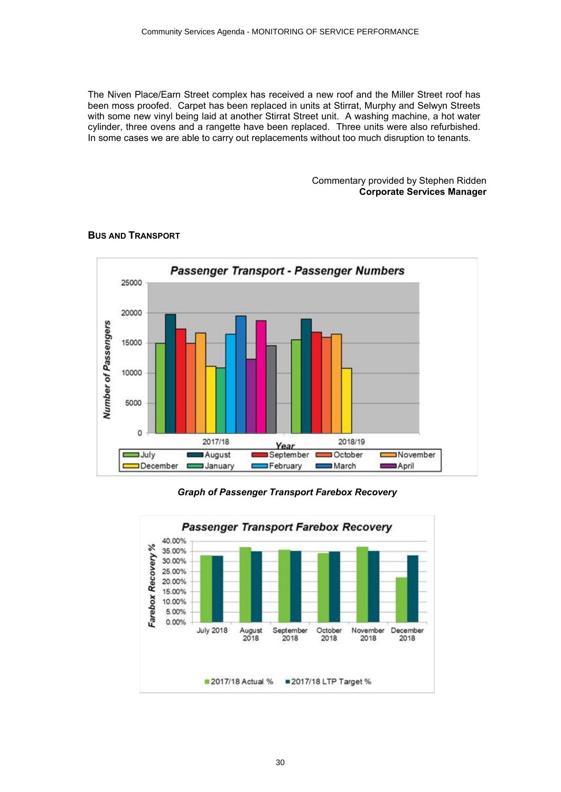<span id="page-29-0"></span>The Niven Place/Earn Street complex has received a new roof and the Miller Street roof has been moss proofed. Carpet has been replaced in units at Stirrat, Murphy and Selwyn Streets with some new vinyl being laid at another Stirrat Street unit. A washing machine, a hot water cylinder, three ovens and a rangette have been replaced. Three units were also refurbished. In some cases we are able to carry out replacements without too much disruption to tenants.

> Commentary provided by Stephen Ridden **Corporate Services Manager**



### **BUS AND TRANSPORT**

*Graph of Passenger Transport Farebox Recovery*